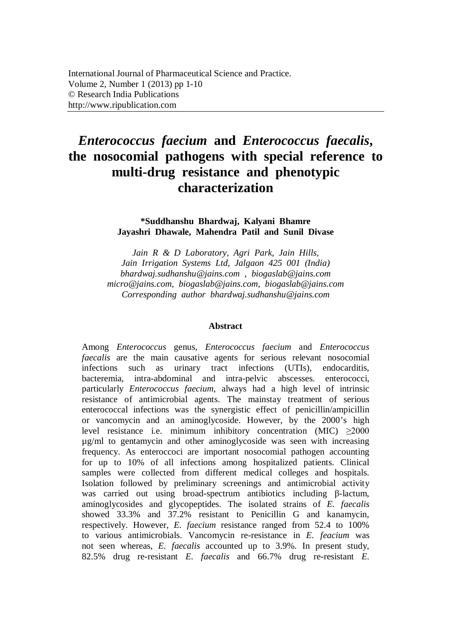# *Enterococcus faecium* **and** *Enterococcus faecalis***, the nosocomial pathogens with special reference to multi-drug resistance and phenotypic characterization**

**\*Suddhanshu Bhardwaj, Kalyani Bhamre Jayashri Dhawale, Mahendra Patil and Sunil Divase**

*Jain R & D Laboratory, Agri Park, Jain Hills, Jain Irrigation Systems Ltd, Jalgaon 425 001 (India) bhardwaj.sudhanshu@jains.com , biogaslab@jains.com micro@jains.com, biogaslab@jains.com, biogaslab@jains.com Corresponding author bhardwaj.sudhanshu@jains.com*

#### **Abstract**

Among *Enterococcus* genus, *Enterococcus faecium* and *Enterococcus faecalis* are the main causative agents for serious relevant nosocomial infections such as urinary tract infections (UTIs), endocarditis, bacteremia, intra-abdominal and intra-pelvic abscesses. enterococci, particularly *Enterococcus faecium*, always had a high level of intrinsic resistance of antimicrobial agents. The mainstay treatment of serious enterococcal infections was the synergistic effect of penicillin/ampicillin or vancomycin and an aminoglycoside. However, by the 2000's high level resistance i.e. minimum inhibitory concentration (MIC)  $\geq 2000$ µg/ml to gentamycin and other aminoglycoside was seen with increasing frequency. As enteroccoci are important nosocomial pathogen accounting for up to 10% of all infections among hospitalized patients. Clinical samples were collected from different medical colleges and hospitals. Isolation followed by preliminary screenings and antimicrobial activity was carried out using broad-spectrum antibiotics including β-lactum, aminoglycosides and glycopeptides. The isolated strains of *E. faecalis* showed 33.3% and 37.2% resistant to Penicillin G and kanamycin, respectively. However, *E. faecium* resistance ranged from 52.4 to 100% to various antimicrobials. Vancomycin re-resistance in *E. feacium* was not seen whereas, *E. faecalis* accounted up to 3.9%. In present study, 82.5% drug re-resistant *E. faecalis* and 66.7% drug re-resistant *E.*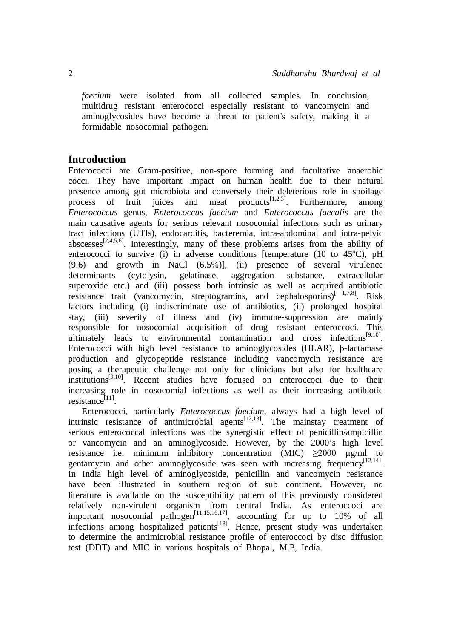*faecium* were isolated from all collected samples. In conclusion, multidrug resistant enterococci especially resistant to vancomycin and aminoglycosides have become a threat to patient's safety, making it a formidable nosocomial pathogen.

# **Introduction**

Enterococci are Gram-positive, non-spore forming and facultative anaerobic cocci. They have important impact on human health due to their natural presence among gut microbiota and conversely their deleterious role in spoilage process of fruit juices and meat products<sup>[1,2,3]</sup>. Furthermore, among *Enterococcus* genus, *Enterococcus faecium* and *Enterococcus faecalis* are the main causative agents for serious relevant nosocomial infections such as urinary tract infections (UTIs), endocarditis, bacteremia, intra-abdominal and intra-pelvic abscesses $[2,4,5,6]$ . Interestingly, many of these problems arises from the ability of enterococci to survive (i) in adverse conditions [temperature (10 to 45ºC), pH (9.6) and growth in NaCl (6.5%)], (ii) presence of several virulence determinants (cytolysin, gelatinase, aggregation substance, extracellular superoxide etc.) and (iii) possess both intrinsic as well as acquired antibiotic resistance trait (vancomycin, streptogramins, and cephalosporins)<sup>[1,7,8]</sup>. Risk factors including (i) indiscriminate use of antibiotics, (ii) prolonged hospital stay, (iii) severity of illness and (iv) immune-suppression are mainly responsible for nosocomial acquisition of drug resistant enteroccoci. This ultimately leads to environmental contamination and cross infections<sup>[9,10]</sup>. Enterococci with high level resistance to aminoglycosides (HLAR), β-lactamase production and glycopeptide resistance including vancomycin resistance are posing a therapeutic challenge not only for clinicians but also for healthcare institutions<sup>[9,10]</sup>. Recent studies have focused on enteroccoci due to their increasing role in nosocomial infections as well as their increasing antibiotic resistance<sup>[11]</sup>.

Enterococci, particularly *Enterococcus faecium*, always had a high level of intrinsic resistance of antimicrobial agents<sup>[12,13]</sup>. The mainstay treatment of serious enterococcal infections was the synergistic effect of penicillin/ampicillin or vancomycin and an aminoglycoside. However, by the 2000's high level resistance i.e. minimum inhibitory concentration (MIC)  $\geq 2000$   $\mu$ g/ml to gentamycin and other aminoglycoside was seen with increasing frequency<sup>[12,14]</sup>. In India high level of aminoglycoside, penicillin and vancomycin resistance have been illustrated in southern region of sub continent. However, no literature is available on the susceptibility pattern of this previously considered relatively non-virulent organism from central India. As enteroccoci are important nosocomial pathogen<sup>[11,15,16,17]</sup>, accounting for up to 10% of all infections among hospitalized patients<sup>[18]</sup>. Hence, present study was undertaken to determine the antimicrobial resistance profile of enteroccoci by disc diffusion test (DDT) and MIC in various hospitals of Bhopal, M.P, India.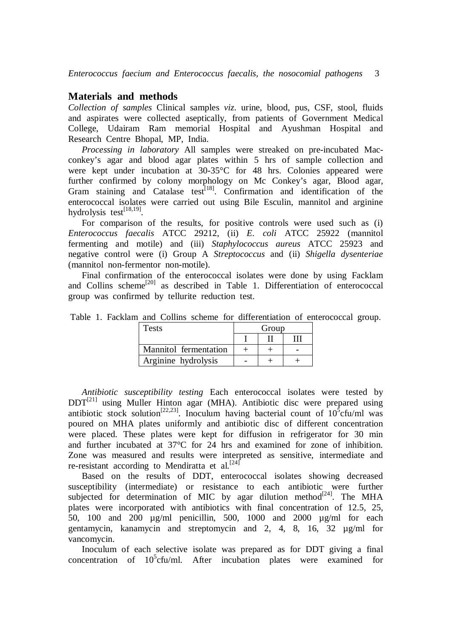## **Materials and methods**

*Collection of samples* Clinical samples *viz*. urine, blood, pus, CSF, stool, fluids and aspirates were collected aseptically, from patients of Government Medical College, Udairam Ram memorial Hospital and Ayushman Hospital and Research Centre Bhopal, MP, India.

*Processing in laboratory* All samples were streaked on pre-incubated Macconkey's agar and blood agar plates within 5 hrs of sample collection and were kept under incubation at 30-35°C for 48 hrs. Colonies appeared were further confirmed by colony morphology on Mc Conkey's agar, Blood agar, Gram staining and Catalase test<sup>[18]</sup>. Confirmation and identification of the enterococcal isolates were carried out using Bile Esculin, mannitol and arginine hydrolysis test<sup>[18,19]</sup>.

For comparison of the results, for positive controls were used such as (i) *Enterococcus faecalis* ATCC 29212, (ii) *E. coli* ATCC 25922 (mannitol fermenting and motile) and (iii) *Staphylococcus aureus* ATCC 25923 and negative control were (i) Group A *Streptococcus* and(ii) *Shigella dysenteriae*  (mannitol non-fermentor non-motile).

Final confirmation of the enterococcal isolates were done by using Facklam and Collins scheme<sup>[20]</sup> as described in Table 1. Differentiation of enterococcal group was confirmed by tellurite reduction test.

| Table 1. Facklam and Collins scheme for differentiation of enterococcal group. |  |
|--------------------------------------------------------------------------------|--|
|--------------------------------------------------------------------------------|--|

| Tests                 | Group |  |  |
|-----------------------|-------|--|--|
|                       |       |  |  |
| Mannitol fermentation |       |  |  |
| Arginine hydrolysis   |       |  |  |

*Antibiotic susceptibility testing* Each enterococcal isolates were tested by  $DDT^{[21]}$  using Muller Hinton agar (MHA). Antibiotic disc were prepared using antibiotic stock solution<sup>[22,23]</sup>. Inoculum having bacterial count of  $10^5$ cfu/ml was poured on MHA plates uniformly and antibiotic disc of different concentration were placed. These plates were kept for diffusion in refrigerator for 30 min and further incubated at 37°C for 24 hrs and examined for zone of inhibition. Zone was measured and results were interpreted as sensitive, intermediate and re-resistant according to Mendiratta et al.<sup>[24]</sup>

Based on the results of DDT, enterococcal isolates showing decreased susceptibility (intermediate) or resistance to each antibiotic were further subjected for determination of MIC by agar dilution method<sup>[24]</sup>. The MHA plates were incorporated with antibiotics with final concentration of 12.5, 25, 50, 100 and 200 µg/ml penicillin, 500, 1000 and 2000 µg/ml for each gentamycin, kanamycin and streptomycin and 2, 4, 8, 16, 32 µg/ml for vancomycin.

Inoculum of each selective isolate was prepared as for DDT giving a final concentration of 10<sup>5</sup>cfu/ml. After incubation plates were examined for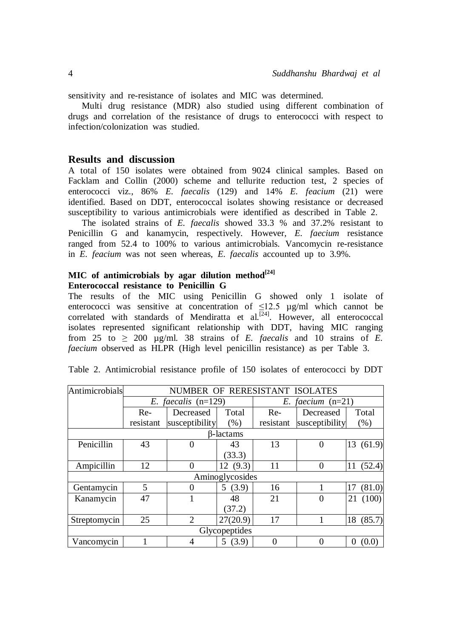sensitivity and re-resistance of isolates and MIC was determined.

Multi drug resistance (MDR) also studied using different combination of drugs and correlation of the resistance of drugs to enterococci with respect to infection/colonization was studied.

## **Results and discussion**

A total of 150 isolates were obtained from 9024 clinical samples. Based on Facklam and Collin (2000) scheme and tellurite reduction test, 2 species of enterococci viz., 86% *E. faecalis* (129) and 14% *E. feacium* (21) were identified. Based on DDT, enterococcal isolates showing resistance or decreased susceptibility to various antimicrobials were identified as described in Table 2.

The isolated strains of *E. faecalis* showed 33.3 % and 37.2% resistant to Penicillin G and kanamycin, respectively. However, *E. faecium* resistance ranged from 52.4 to 100% to various antimicrobials. Vancomycin re-resistance in *E. feacium* was not seen whereas, *E. faecalis* accounted up to 3.9%.

## **MIC of antimicrobials by agar dilution method[24] Enterococcal resistance to Penicillin G**

The results of the MIC using Penicillin G showed only 1 isolate of enterococci was sensitive at concentration of  $\leq 12.5$   $\mu$ g/ml which cannot be correlated with standards of Mendiratta et al.<sup>[24]</sup>. However, all enterococcal isolates represented significant relationship with DDT, having MIC ranging from 25 to  $>$  200 ug/ml. 38 strains of *E. faecalis* and 10 strains of *E. faecium* observed as HLPR (High level penicillin resistance) as per Table 3.

| Antimicrobials | NUMBER OF RERESISTANT ISOLATES |                |                  |           |                     |              |
|----------------|--------------------------------|----------------|------------------|-----------|---------------------|--------------|
|                | E. faecalis $(n=129)$          |                |                  |           | E. faecium $(n=21)$ |              |
|                | Re-                            | Decreased      | Total            | Re-       | Decreased           | Total        |
|                | resistant                      | susceptibility | (% )             | resistant | susceptibility      | (% )         |
|                |                                |                | <b>B-lactams</b> |           |                     |              |
| Penicillin     | 43                             |                | 43               | 13        | $\overline{0}$      | 13(61.9)     |
|                |                                |                | (33.3)           |           |                     |              |
| Ampicillin     | 12                             |                | 12(9.3)          | 11        | 0                   | (52.4)<br>11 |
|                |                                |                | Aminoglycosides  |           |                     |              |
| Gentamycin     | 5                              |                | 5(3.9)           | 16        |                     | (81.0)       |
| Kanamycin      | 47                             |                | 48               | 21        | $\overline{0}$      | (100)<br>21  |
|                |                                |                | (37.2)           |           |                     |              |
| Streptomycin   | 25                             | $\overline{2}$ | 27(20.9)         | 17        |                     | 18<br>(85.7) |
| Glycopeptides  |                                |                |                  |           |                     |              |
| Vancomycin     |                                | 4              | 5(3.9)           | $\theta$  | $\theta$            | (0.0)        |

Table 2. Antimicrobial resistance profile of 150 isolates of enterococci by DDT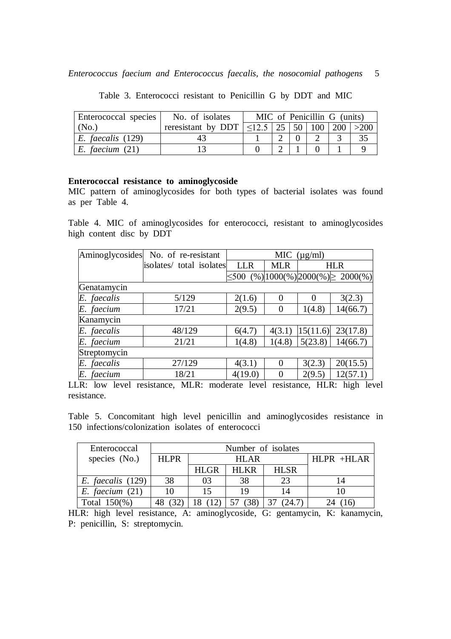| Enterococcal species  | No. of isolates                                               |  |  | MIC of Penicillin G (units) |  |
|-----------------------|---------------------------------------------------------------|--|--|-----------------------------|--|
| (N <sub>0</sub> )     | reresistant by DDT $ \leq$ 12.5   25   50   100   200   > 200 |  |  |                             |  |
| $E.$ faecalis $(129)$ |                                                               |  |  |                             |  |
| $E.$ faecium $(21)$   |                                                               |  |  |                             |  |

Table 3. Enterococci resistant to Penicillin G by DDT and MIC

# **Enterococcal resistance to aminoglycoside**

MIC pattern of aminoglycosides for both types of bacterial isolates was found as per Table 4.

Table 4. MIC of aminoglycosides for enterococci, resistant to aminoglycosides high content disc by DDT

|              | Aminoglycosides No. of re-resistant | MIC<br>$(\mu g/ml)$ |            |          |                                          |  |
|--------------|-------------------------------------|---------------------|------------|----------|------------------------------------------|--|
|              | isolates/ total isolates            | <b>LLR</b>          | <b>MLR</b> |          | <b>HLR</b>                               |  |
|              |                                     |                     |            |          | $\leq$ 500 (%) 1000(%) 2000(%) > 2000(%) |  |
| Genatamycin  |                                     |                     |            |          |                                          |  |
| E. faecalis  | 5/129                               | 2(1.6)              | $\Omega$   | $\Omega$ | 3(2.3)                                   |  |
| E. faecium   | 17/21                               | 2(9.5)              | $\Omega$   | 1(4.8)   | 14(66.7)                                 |  |
| Kanamycin    |                                     |                     |            |          |                                          |  |
| E. faecalis  | 48/129                              | 6(4.7)              | 4(3.1)     | 15(11.6) | 23(17.8)                                 |  |
| E. faecium   | 21/21                               | 1(4.8)              | 1(4.8)     | 5(23.8)  | 14(66.7)                                 |  |
| Streptomycin |                                     |                     |            |          |                                          |  |
| E. faecalis  | 27/129                              | 4(3.1)              | $\Omega$   | 3(2.3)   | 20(15.5)                                 |  |
| E. faecium   | 18/21                               | 4(19.0)             |            | 2(9.5)   | 12(57.1)                                 |  |

LLR: low level resistance, MLR: moderate level resistance, HLR: high level resistance.

Table 5. Concomitant high level penicillin and aminoglycosides resistance in 150 infections/colonization isolates of enterococci

| Enterococcal          | Number of isolates |             |       |             |              |
|-----------------------|--------------------|-------------|-------|-------------|--------------|
| species (No.)         | <b>HLPR</b>        | HLAR        |       |             | $HLPR$ +HLAR |
|                       |                    | <b>HLGR</b> | HL KR | <b>HLSR</b> |              |
| $E.$ faecalis $(129)$ | 38                 | 03          | 38    | 23          |              |
| $E.$ faecium $(21)$   |                    | 15          | 19    | 14          |              |
| Total $150\%$ )       |                    |             |       |             |              |

HLR: high level resistance, A: aminoglycoside, G: gentamycin, K: kanamycin, P: penicillin, S: streptomycin.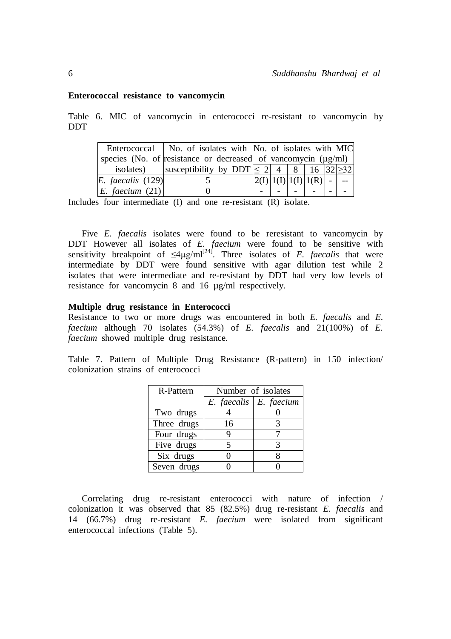#### **Enterococcal resistance to vancomycin**

Table 6. MIC of vancomycin in enterococci re-resistant to vancomycin by DDT

|                       | Enterococcal   No. of isolates with   No. of isolates with MIC        |  |                               |  |
|-----------------------|-----------------------------------------------------------------------|--|-------------------------------|--|
|                       | species (No. of resistance or decreased of vancomycin $(\mu g/ml)$    |  |                               |  |
| isolates)             | susceptibility by DDT $\leq 2 \mid 4 \mid 8 \mid 16 \mid 32 \mid >32$ |  |                               |  |
| $E.$ faecalis $(129)$ |                                                                       |  | $ 2(I) 1(I) 1(I) 1(R)  -   -$ |  |
| E. faecium $(21)$     |                                                                       |  |                               |  |

Includes four intermediate (I) and one re-resistant (R) isolate.

Five *E. faecalis* isolates were found to be reresistant to vancomycin by DDT However all isolates of *E. faecium* were found to be sensitive with sensitivity breakpoint of  $\leq 4\mu g/ml^{24}$ . Three isolates of *E. faecalis* that were intermediate by DDT were found sensitive with agar dilution test while  $2$ isolates that were intermediate and re-resistant by DDT had very low levels of resistance for vancomycin 8 and 16 µg/ml respectively.

## **Multiple drug resistance in Enterococci**

Resistance to two or more drugs was encountered in both *E. faecalis* and *E. faecium* although 70 isolates (54.3%) of *E. faecalis* and 21(100%) of *E. faecium* showed multiple drug resistance.

Table 7. Pattern of Multiple Drug Resistance (R-pattern) in 150 infection/ colonization strains of enterococci

| R-Pattern   | Number of isolates |            |  |  |
|-------------|--------------------|------------|--|--|
|             | $E.$ faecalis      | E. faecium |  |  |
| Two drugs   |                    |            |  |  |
| Three drugs | 16                 |            |  |  |
| Four drugs  | 9                  |            |  |  |
| Five drugs  | 5                  |            |  |  |
| Six drugs   |                    |            |  |  |
| Seven drugs |                    |            |  |  |

Correlating drug re-resistant enterococci with nature of infection / colonization it was observed that 85 (82.5%) drug re-resistant *E. faecalis* and 14 (66.7%) drug re-resistant *E. faecium* were isolated from significant enterococcal infections (Table 5).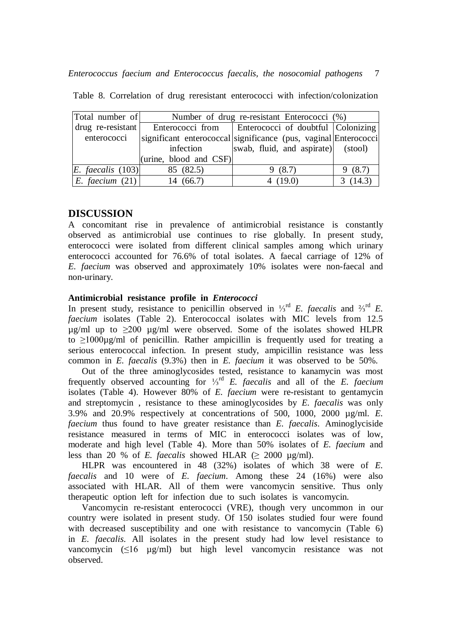| Total number of     | Number of drug re-resistant Enterococci (%) |                                                                 |         |  |  |
|---------------------|---------------------------------------------|-----------------------------------------------------------------|---------|--|--|
| $drug$ re-resistant |                                             | Enterococci from   Enterococci of doubtful Colonizing           |         |  |  |
| enterococci         |                                             | significant enterococcal significance (pus, vaginal Enterococci |         |  |  |
|                     | infection                                   | swab, fluid, and aspirate) (stool)                              |         |  |  |
|                     | (urine, blood and CSF)                      |                                                                 |         |  |  |
| $E.$ faecalis (103) | 85 (82.5)                                   | 9(8.7)                                                          | 9(8.7)  |  |  |
| E. faecium $(21)$   | 14 (66.7)                                   | 4 $(19.0)$                                                      | 3(14.3) |  |  |

Table 8. Correlation of drug reresistant enterococci with infection/colonization

# **DISCUSSION**

A concomitant rise in prevalence of antimicrobial resistance is constantly observed as antimicrobial use continues to rise globally. In present study, enterococci were isolated from different clinical samples among which urinary enterococci accounted for 76.6% of total isolates. A faecal carriage of 12% of *E. faecium* was observed and approximately 10% isolates were non-faecal and non-urinary.

## **Antimicrobial resistance profile in** *Enterococci*

In present study, resistance to penicillin observed in <sup>1</sup>/<sub>3</sub><sup>rd</sup> *E. faecalis* and <sup>2</sup>/<sub>3</sub><sup>rd</sup> *E. faecium* isolates (Table 2). Enterococcal isolates with MIC levels from 12.5  $\mu$ g/ml up to >200  $\mu$ g/ml were observed. Some of the isolates showed HLPR to  $\geq 1000 \mu g/ml$  of penicillin. Rather ampicillin is frequently used for treating a serious enterococcal infection. In present study, ampicillin resistance was less common in *E. faecalis* (9.3%) then in *E. faecium* it was observed to be 50%.

Out of the three aminoglycosides tested, resistance to kanamycin was most frequently observed accounting for <sup>1</sup>/<sub>3</sub><sup>rd</sup> *E. faecalis* and all of the *E. faecium* isolates (Table 4). However 80% of *E. faecium* were re-resistant to gentamycin and streptomycin , resistance to these aminoglycosides by *E. faecalis* was only 3.9% and 20.9% respectively at concentrations of 500, 1000, 2000 µg/ml. *E. faecium* thus found to have greater resistance than *E. faecalis*. Aminoglyciside resistance measured in terms of MIC in enterococci isolates was of low, moderate and high level (Table 4). More than 50% isolates of *E. faecium* and less than 20 % of *E. faecalis* showed HLAR  $(> 2000 \text{ µg/ml})$ .

HLPR was encountered in 48 (32%) isolates of which 38 were of *E. faecalis* and 10 were of *E. faecium*. Among these 24 (16%) were also associated with HLAR. All of them were vancomycin sensitive. Thus only therapeutic option left for infection due to such isolates is vancomycin.

Vancomycin re-resistant enterococci (VRE), though very uncommon in our country were isolated in present study. Of 150 isolates studied four were found with decreased susceptibility and one with resistance to vancomycin (Table 6) in *E. faecalis*. All isolates in the present study had low level resistance to vancomycin (≤16 µg/ml) but high level vancomycin resistance was not observed.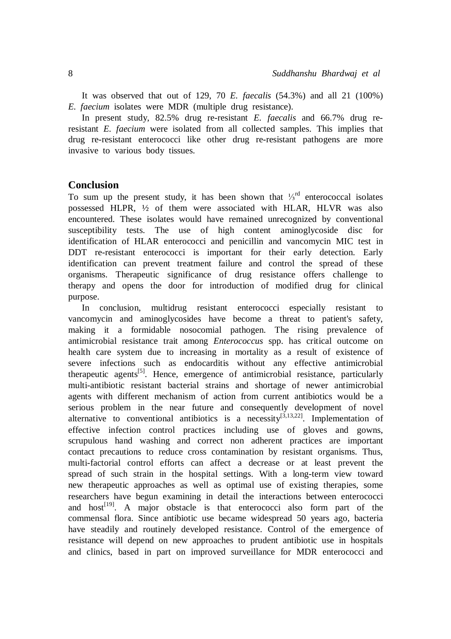It was observed that out of 129, 70 *E. faecalis* (54.3%) and all 21 (100%) *E. faecium* isolates were MDR (multiple drug resistance).

In present study, 82.5% drug re-resistant *E. faecalis* and 66.7% drug reresistant *E. faecium* were isolated from all collected samples. This implies that drug re-resistant enterococci like other drug re-resistant pathogens are more invasive to various body tissues.

## **Conclusion**

To sum up the present study, it has been shown that  $\frac{1}{3}$ <sup>rd</sup> enterococcal isolates possessed HLPR, ½ of them were associated with HLAR, HLVR was also encountered. These isolates would have remained unrecognized by conventional susceptibility tests. The use of high content aminoglycoside disc for identification of HLAR enterococci and penicillin and vancomycin MIC test in DDT re-resistant enterococci is important for their early detection. Early identification can prevent treatment failure and control the spread of these organisms. Therapeutic significance of drug resistance offers challenge to therapy and opens the door for introduction of modified drug for clinical purpose.

In conclusion, multidrug resistant enterococci especially resistant to vancomycin and aminoglycosides have become a threat to patient's safety, making it a formidable nosocomial pathogen. The rising prevalence of antimicrobial resistance trait among *Enterococcus* spp. has critical outcome on health care system due to increasing in mortality as a result of existence of severe infections such as endocarditis without any effective antimicrobial therapeutic agents<sup>[5]</sup>. Hence, emergence of antimicrobial resistance, particularly multi-antibiotic resistant bacterial strains and shortage of newer antimicrobial agents with different mechanism of action from current antibiotics would be a serious problem in the near future and consequently development of novel alternative to conventional antibiotics is a necessity  $[3,13,22]$ . Implementation of effective infection control practices including use of gloves and gowns, scrupulous hand washing and correct non adherent practices are important contact precautions to reduce cross contamination by resistant organisms. Thus, multi-factorial control efforts can affect a decrease or at least prevent the spread of such strain in the hospital settings. With a long-term view toward new therapeutic approaches as well as optimal use of existing therapies, some researchers have begun examining in detail the interactions between enterococci and host<sup>[19]</sup>. A major obstacle is that enterococci also form part of the commensal flora. Since antibiotic use became widespread 50 years ago, bacteria have steadily and routinely developed resistance. Control of the emergence of resistance will depend on new approaches to prudent antibiotic use in hospitals and clinics, based in part on improved surveillance for MDR enterococci and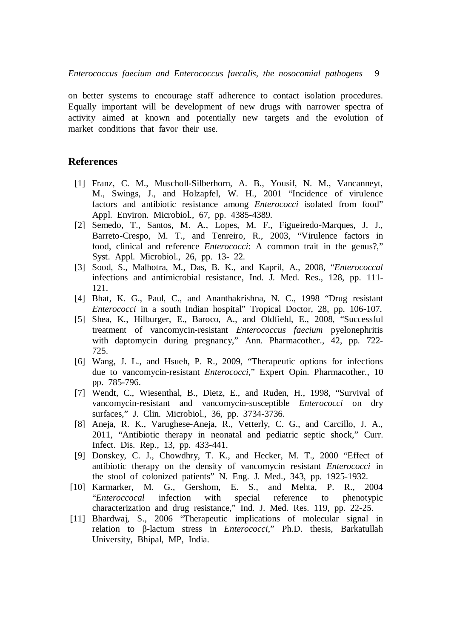on better systems to encourage staff adherence to contact isolation procedures. Equally important will be development of new drugs with narrower spectra of activity aimed at known and potentially new targets and the evolution of market conditions that favor their use.

## **References**

- [1] Franz, C. M., Muscholl-Silberhorn, A. B., Yousif, N. M., Vancanneyt, M., Swings, J., and Holzapfel, W. H., 2001 "Incidence of virulence factors and antibiotic resistance among *Enterococci* isolated from food" Appl. Environ. Microbiol., 67, pp. 4385-4389.
- [2] Semedo, T., Santos, M. A., Lopes, M. F., Figueiredo-Marques, J. J., Barreto-Crespo, M. T., and Tenreiro, R., 2003, "Virulence factors in food, clinical and reference *Enterococci*: A common trait in the genus?," Syst. Appl. Microbiol., 26, pp. 13- 22.
- [3] Sood, S., Malhotra, M., Das, B. K., and Kapril, A., 2008, "*Enterococcal* infections and antimicrobial resistance, Ind. J. Med. Res., 128, pp. 111- 121.
- [4] Bhat, K. G., Paul, C., and Ananthakrishna, N. C., 1998 "Drug resistant *Enterococci* in a south Indian hospital" Tropical Doctor, 28, pp. 106-107.
- [5] Shea, K., Hilburger, E., Baroco, A., and Oldfield, E., 2008, "Successful treatment of vancomycin-resistant *Enterococcus faecium* pyelonephritis with daptomycin during pregnancy," Ann. Pharmacother., 42, pp. 722- 725.
- [6] Wang, J. L., and Hsueh, P. R., 2009, "Therapeutic options for infections due to vancomycin-resistant *Enterococci*," Expert Opin. Pharmacother., 10 pp. 785-796.
- [7] Wendt, C., Wiesenthal, B., Dietz, E., and Ruden, H., 1998, "Survival of vancomycin-resistant and vancomycin-susceptible *Enterococci* on dry surfaces," J. Clin. Microbiol., 36, pp. 3734-3736.
- [8] Aneja, R. K., Varughese-Aneja, R., Vetterly, C. G., and Carcillo, J. A., 2011, "Antibiotic therapy in neonatal and pediatric septic shock," Curr. Infect. Dis. Rep., 13, pp. 433-441.
- [9] Donskey, C. J., Chowdhry, T. K., and Hecker, M. T., 2000 "Effect of antibiotic therapy on the density of vancomycin resistant *Enterococci* in the stool of colonized patients" N. Eng. J. Med., 343, pp. 1925-1932.
- [10] Karmarker, M. G., Gershom, E. S., and Mehta, P. R., 2004 "*Enteroccocal* infection with special reference to phenotypic characterization and drug resistance," Ind. J. Med. Res. 119, pp. 22-25.
- [11] Bhardwaj, S., 2006 "Therapeutic implications of molecular signal in relation to β-lactum stress in *Enterococci*," Ph.D. thesis, Barkatullah University, Bhipal, MP, India.